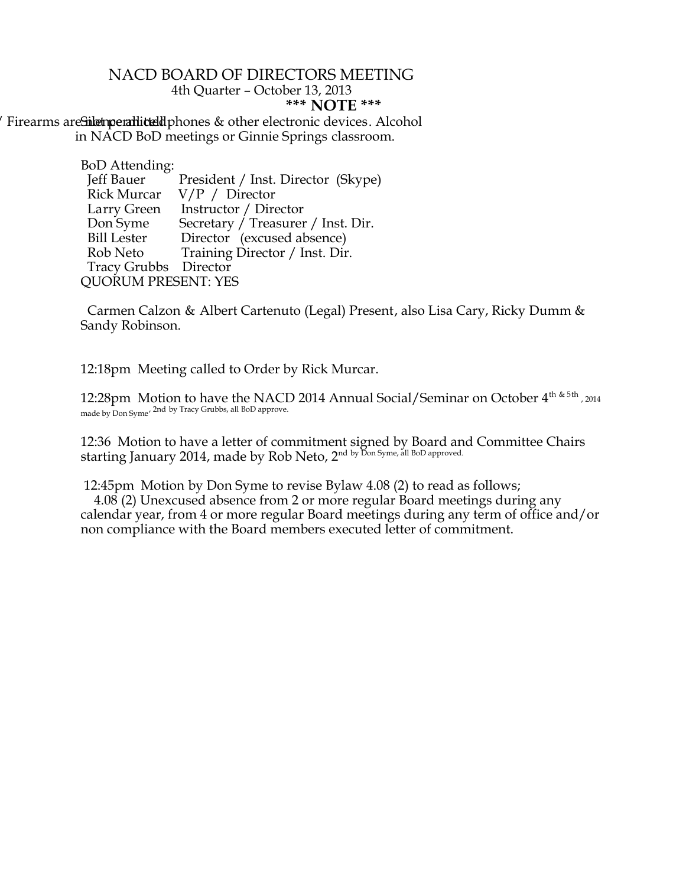## NACD BOARD OF DIRECTORS MEETING 4th Quarter – October 13, 2013 **\*\*\* NOTE \*\*\***

Firearms are Silet permitted uphones & other electronic devices. Alcohol in NACD BoD meetings or Ginnie Springs classroom.

| <b>BoD</b> Attending:      |                                    |
|----------------------------|------------------------------------|
| Jeff Bauer                 | President / Inst. Director (Skype) |
| <b>Rick Murcar</b>         | $V/P /$ Director                   |
| Larry Green                | Instructor / Director              |
| Don Syme                   | Secretary / Treasurer / Inst. Dir. |
| Bill Lester                | Director (excused absence)         |
| Rob Neto                   | Training Director / Inst. Dir.     |
| Tracy Grubbs Director      |                                    |
| <b>QUORUM PRESENT: YES</b> |                                    |
|                            |                                    |

 Carmen Calzon & Albert Cartenuto (Legal) Present, also Lisa Cary, Ricky Dumm & Sandy Robinson.

12:18pm Meeting called to Order by Rick Murcar.

12:28pm Motion to have the NACD 2014 Annual Social/Seminar on October  $4^{\text{th} \& 5\text{th}}$  , 2014 made by Don Syme<sup>, 2nd</sup> by Tracy Grubbs, all BoD approve.

12:36 Motion to have a letter of commitment signed by Board and Committee Chairs starting January 2014, made by Rob Neto, 2<sup>nd by Don Syme, all BoD approved.</sup>

12:45pm Motion by Don Syme to revise Bylaw 4.08 (2) to read as follows;

 4.08 (2) Unexcused absence from 2 or more regular Board meetings during any calendar year, from 4 or more regular Board meetings during any term of office and/or non compliance with the Board members executed letter of commitment.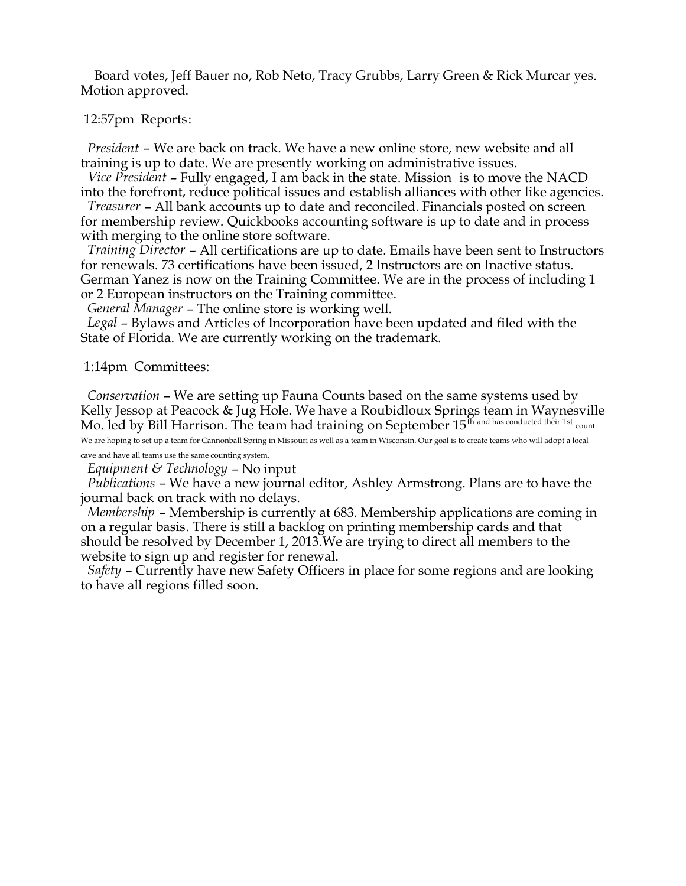Board votes, Jeff Bauer no, Rob Neto, Tracy Grubbs, Larry Green & Rick Murcar yes. Motion approved.

12:57pm Reports:

*President* – We are back on track. We have a new online store, new website and all training is up to date. We are presently working on administrative issues.

 *Vice President* – Fully engaged, I am back in the state. Mission is to move the NACD into the forefront, reduce political issues and establish alliances with other like agencies.

 *Treasurer* – All bank accounts up to date and reconciled. Financials posted on screen for membership review. Quickbooks accounting software is up to date and in process with merging to the online store software.

 *Training Director* – All certifications are up to date. Emails have been sent to Instructors for renewals. 73 certifications have been issued, 2 Instructors are on Inactive status. German Yanez is now on the Training Committee. We are in the process of including 1 or 2 European instructors on the Training committee.

*General Manager* – The online store is working well.

 *Legal* – Bylaws and Articles of Incorporation have been updated and filed with the State of Florida. We are currently working on the trademark.

1:14pm Committees:

 *Conservation* – We are setting up Fauna Counts based on the same systems used by Kelly Jessop at Peacock & Jug Hole. We have a Roubidloux Springs team in Waynesville Mo. led by Bill Harrison. The team had training on September 15<sup>th</sup> and has conducted their 1st <sub>count.</sub>

We are hoping to set up a team for Cannonball Spring in Missouri as well as a team in Wisconsin. Our goal is to create teams who will adopt a local cave and have all teams use the same counting system.

*Equipment & Technology* – No input

 *Publications* – We have a new journal editor, Ashley Armstrong. Plans are to have the journal back on track with no delays.

 *Membership* – Membership is currently at 683. Membership applications are coming in on a regular basis. There is still a backlog on printing membership cards and that should be resolved by December 1, 2013.We are trying to direct all members to the website to sign up and register for renewal.

 *Safety* – Currently have new Safety Officers in place for some regions and are looking to have all regions filled soon.